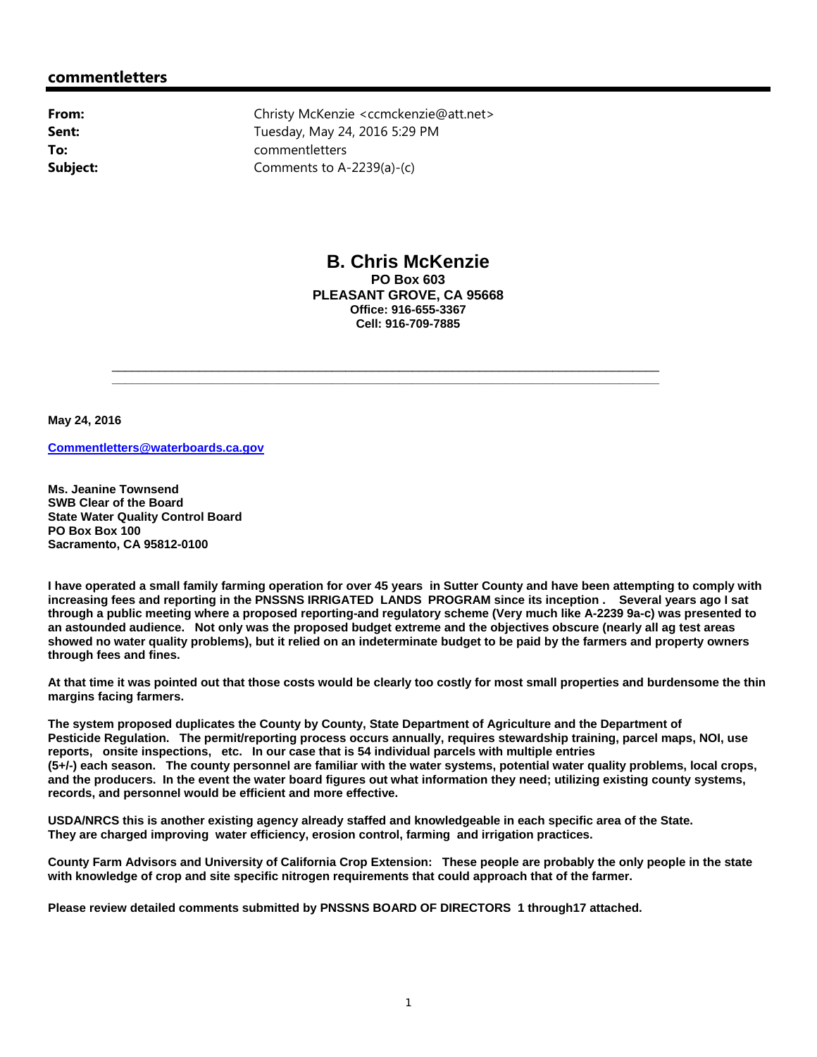## **commentletters**

**From:** Christy McKenzie <ccmckenzie@att.net> **Sent:** Tuesday, May 24, 2016 5:29 PM **To:** commentletters **Subject:** Comments to A-2239(a)-(c)

\_\_\_\_\_\_\_\_\_\_\_\_\_\_\_\_\_\_\_\_\_\_\_\_\_\_\_\_\_\_\_\_\_\_\_\_\_\_\_\_\_\_\_\_\_\_\_\_\_\_\_\_\_\_\_\_\_\_\_\_\_\_\_\_\_\_\_\_\_\_\_\_\_\_\_\_\_\_\_\_\_\_

**\_\_\_\_\_\_\_\_\_\_\_\_\_\_\_\_\_\_\_\_\_\_\_\_\_\_\_\_\_\_\_\_\_\_\_\_\_\_\_\_\_\_\_\_\_\_\_\_\_\_\_\_\_\_\_\_\_\_\_\_\_\_\_\_\_\_\_\_\_\_\_\_\_\_\_\_\_\_\_\_\_\_**



**B. Chris McKenzie PO Box 603 PLEASANT GROVE, CA 95668 Office: 916-655-3367 Cell: 916-709-7885**

**May 24, 2016**

**Commentletters@waterboards.ca.gov**

**Ms. Jeanine Townsend SWB Clear of the Board State Water Quality Control Board PO Box Box 100 Sacramento, CA 95812-0100**

**I have operated a small family farming operation for over 45 years in Sutter County and have been attempting to comply with increasing fees and reporting in the PNSSNS IRRIGATED LANDS PROGRAM since its inception . Several years ago I sat through a public meeting where a proposed reporting-and regulatory scheme (Very much like A-2239 9a-c) was presented to an astounded audience. Not only was the proposed budget extreme and the objectives obscure (nearly all ag test areas showed no water quality problems), but it relied on an indeterminate budget to be paid by the farmers and property owners through fees and fines.** 

**At that time it was pointed out that those costs would be clearly too costly for most small properties and burdensome the thin margins facing farmers.**

**The system proposed duplicates the County by County, State Department of Agriculture and the Department of Pesticide Regulation. The permit/reporting process occurs annually, requires stewardship training, parcel maps, NOI, use reports, onsite inspections, etc. In our case that is 54 individual parcels with multiple entries (5+/-) each season. The county personnel are familiar with the water systems, potential water quality problems, local crops, and the producers. In the event the water board figures out what information they need; utilizing existing county systems, records, and personnel would be efficient and more effective.**

**USDA/NRCS this is another existing agency already staffed and knowledgeable in each specific area of the State. They are charged improving water efficiency, erosion control, farming and irrigation practices.** 

**County Farm Advisors and University of California Crop Extension: These people are probably the only people in the state with knowledge of crop and site specific nitrogen requirements that could approach that of the farmer.** 

**Please review detailed comments submitted by PNSSNS BOARD OF DIRECTORS 1 through17 attached.**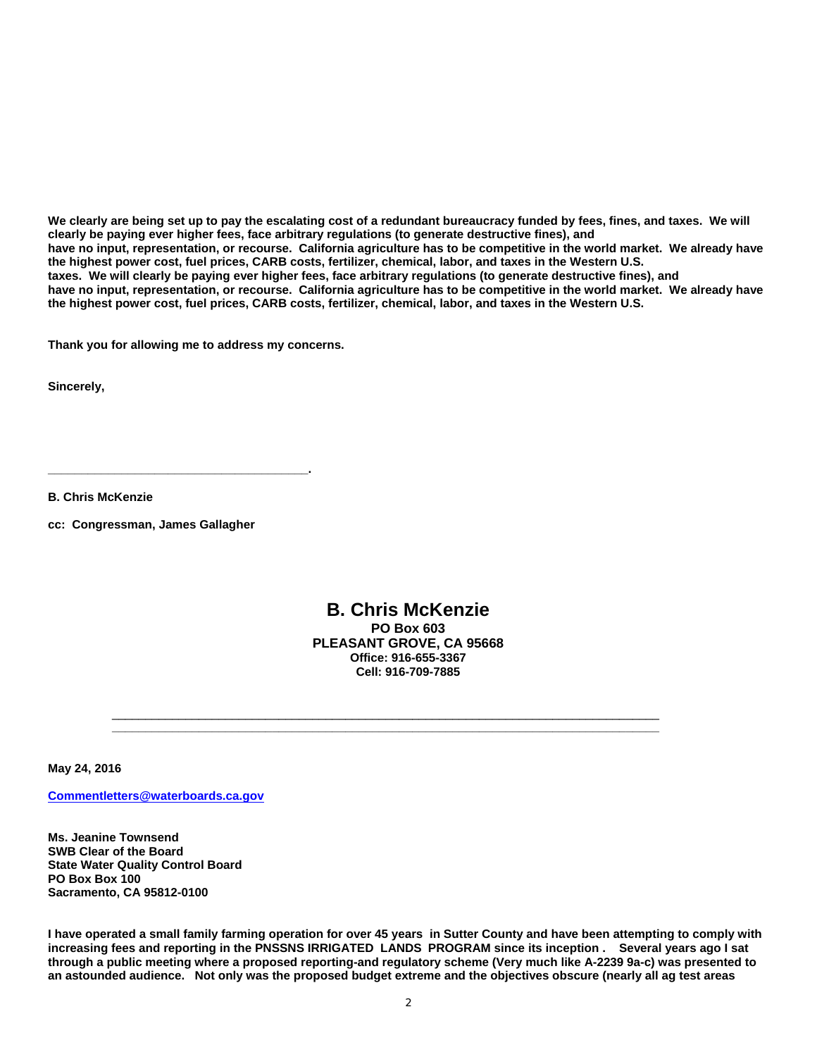**We clearly are being set up to pay the escalating cost of a redundant bureaucracy funded by fees, fines, and taxes. We will clearly be paying ever higher fees, face arbitrary regulations (to generate destructive fines), and have no input, representation, or recourse. California agriculture has to be competitive in the world market. We already have the highest power cost, fuel prices, CARB costs, fertilizer, chemical, labor, and taxes in the Western U.S. taxes. We will clearly be paying ever higher fees, face arbitrary regulations (to generate destructive fines), and have no input, representation, or recourse. California agriculture has to be competitive in the world market. We already have the highest power cost, fuel prices, CARB costs, fertilizer, chemical, labor, and taxes in the Western U.S.** 

**Thank you for allowing me to address my concerns.**

**Sincerely,**

**B. Chris McKenzie**

**cc: Congressman, James Gallagher**

**\_\_\_\_\_\_\_\_\_\_\_\_\_\_\_\_\_\_\_\_\_\_\_\_\_\_\_\_\_\_\_\_\_\_\_\_\_\_\_.**

**B. Chris McKenzie PO Box 603 PLEASANT GROVE, CA 95668 Office: 916-655-3367 Cell: 916-709-7885**

\_\_\_\_\_\_\_\_\_\_\_\_\_\_\_\_\_\_\_\_\_\_\_\_\_\_\_\_\_\_\_\_\_\_\_\_\_\_\_\_\_\_\_\_\_\_\_\_\_\_\_\_\_\_\_\_\_\_\_\_\_\_\_\_\_\_\_\_\_\_\_\_\_\_\_\_\_\_\_\_\_\_

**\_\_\_\_\_\_\_\_\_\_\_\_\_\_\_\_\_\_\_\_\_\_\_\_\_\_\_\_\_\_\_\_\_\_\_\_\_\_\_\_\_\_\_\_\_\_\_\_\_\_\_\_\_\_\_\_\_\_\_\_\_\_\_\_\_\_\_\_\_\_\_\_\_\_\_\_\_\_\_\_\_\_**

**May 24, 2016**

**Commentletters@waterboards.ca.gov**

**Ms. Jeanine Townsend SWB Clear of the Board State Water Quality Control Board PO Box Box 100 Sacramento, CA 95812-0100**

**I have operated a small family farming operation for over 45 years in Sutter County and have been attempting to comply with increasing fees and reporting in the PNSSNS IRRIGATED LANDS PROGRAM since its inception . Several years ago I sat through a public meeting where a proposed reporting-and regulatory scheme (Very much like A-2239 9a-c) was presented to an astounded audience. Not only was the proposed budget extreme and the objectives obscure (nearly all ag test areas**